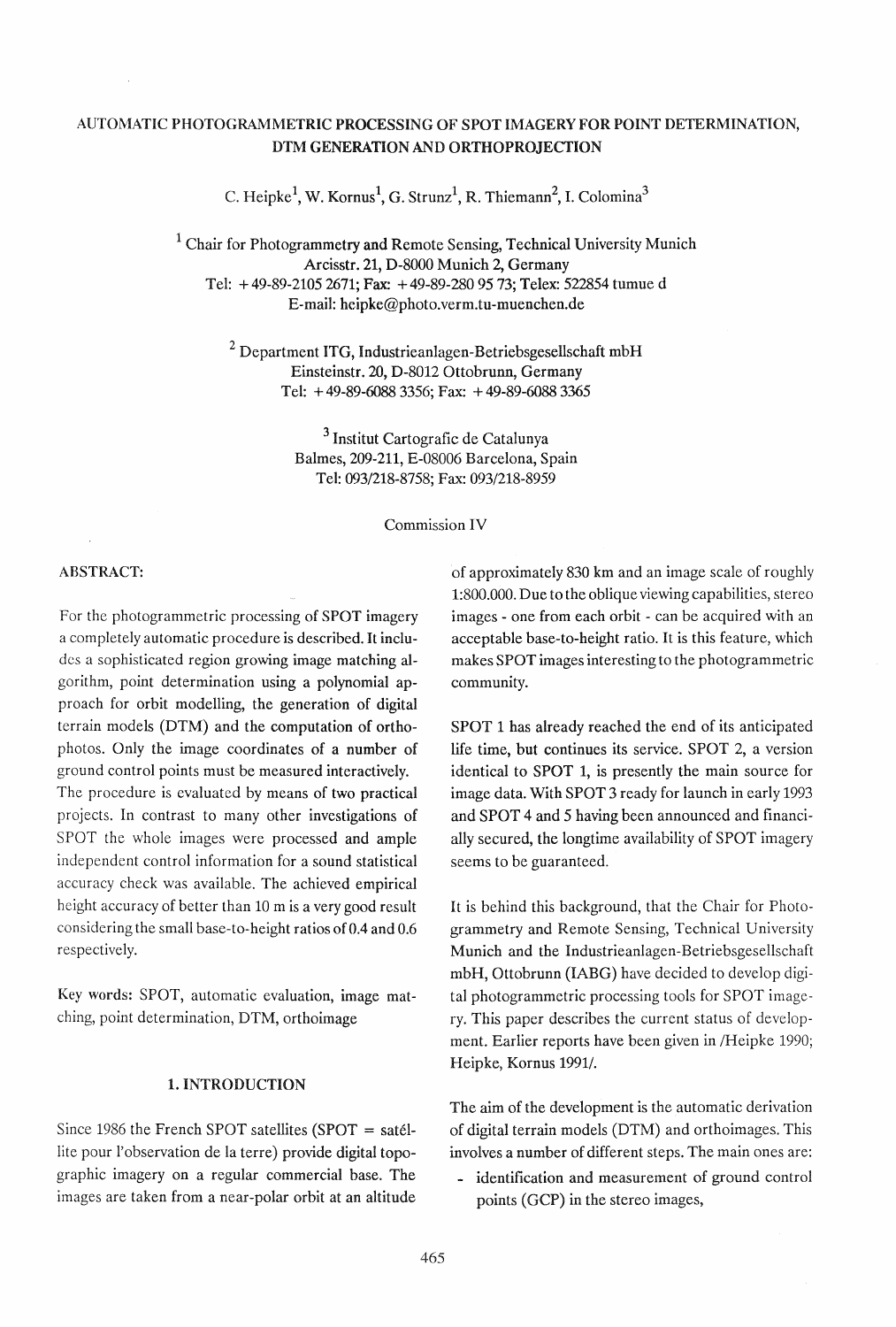# AUTOMATIC PHOTOGRAMMETRIC PROCESSING OF SPOT IMAGERY FOR POINT DETERMINATION, DTM GENERATION AND ORTHOPROJECTION

C. Heipke<sup>1</sup>, W. Kornus<sup>1</sup>, G. Strunz<sup>1</sup>, R. Thiemann<sup>2</sup>, I. Colomina<sup>3</sup>

 $1$  Chair for Photogrammetry and Remote Sensing, Technical University Munich Arcisstr. 21, D-8000 Munich 2, Germany Tel: + 49-89-21052671; Fax: + 49-89-2809573; Telex: 522854 tumue d E-mail: hcipke@photo.verm.tu-muenchen.de

<sup>2</sup> Department ITG, Industrieanlagen-Betriebsgesellschaft mbH Einsteinstr. 20, D-8012 Ottobrunn, Germany Tel: + 49-89-6088 3356; Fax: + 49-89-6088 3365

> 3 Institut Cartografic de Catalunya Balmes, 209-211, E-08006 Barcelona, Spain Tel: 093/218-8758; Fax: 093/218-8959

> > Commission IV

# ABSTRACT:

For the photogrammetric processing of SPOT imagery a completely automatic procedure is described. It includes a sophisticated region growing image matching algorithm, point determination using a polynomial approach for orbit modelling, the generation of digital terrain models (DTM) and the computation of orthophotos. Only the image coordinates of a number of ground control points must be measured interactively. The procedure is evaluated by means of two practical projects. In contrast to many other investigations of SPOT the whole images were processed and ample independent control information for a sound statistical accuracy check was available. The achieved empirical height accuracy of better than 10 m is a very good result considering the small base-to-height ratios of 0.4 and 0.6 respectively.

Key words: SPOT, automatic evaluation, image matching, point determination, DTM, orthoimage

# 1. INTRODUCTION

Since 1986 the French SPOT satellites (SPOT = satellite pour l'observation de la terre) provide digital topographic imagery on a regular commercial base. The images are taken from a near-polar orbit at an altitude of approximately 830 km and an image scale of roughly 1:800.000. Due to the oblique viewing capabilities, stereo images - one from each orbit - can be acquired with an acceptable base-to-height ratio. It is this feature, which makes SPOT images interesting to the photogrammetric community.

SPOT 1 has already reached the end of its anticipated life time, but continues its service. SPOT 2, a version identical to SPOT 1, is presently the main source for image data. With SPOT 3 ready for launch in early 1993 and SPOT 4 and 5 having been announced and financially secured, the longtime availability of SPOT imagery seems to be guaranteed.

It is behind this background, that the Chair for Photogrammetry and Remote Sensing, Technical University Munich and the Industrieanlagen-Betriebsgesellschaft mbH, Ottobrunn (IABG) have decided to develop digital photogrammetric processing tools for SPOT imagery. This paper describes the current status of development. Earlier reports have been given in /Heipke 1990; Heipke, Kornus 1991/.

The aim of the development is the automatic derivation of digital terrain models (DTM) and orthoimages. This involves a number of different steps. The main ones are:

- identification and measurement of ground control points (GCP) in the stereo images,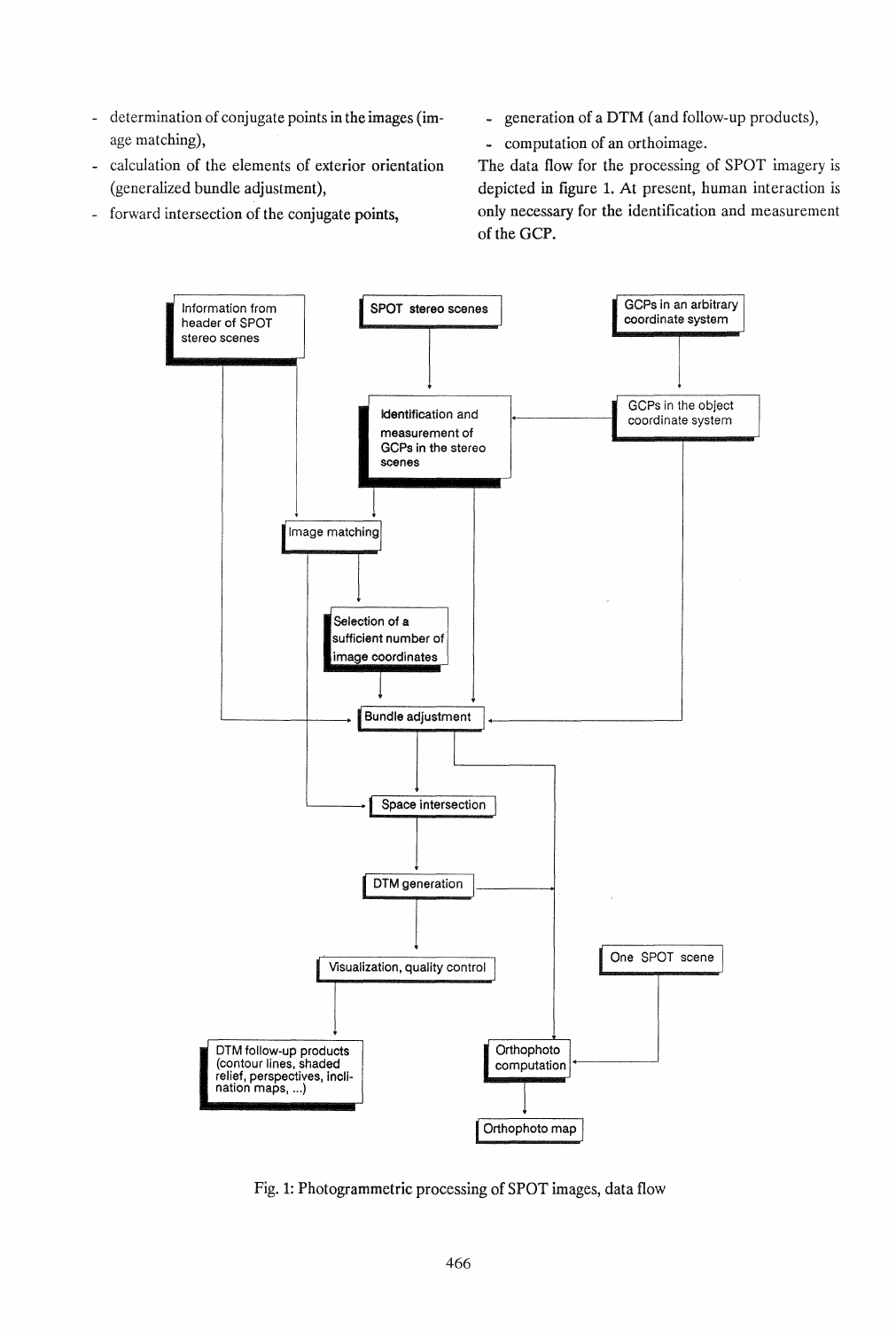- determination of conjugate points in the images (image matching),
- calculation of the elements of exterior orientation (generalized bundle adjustment),
- forward intersection of the conjugate points,
- generation of a DTM (and follow-up products),
- computation of an orthoimage.

The data flow for the processing of SPOT imagery is depicted in figure 1. At present, human interaction is only necessary for the identification and measurement of the GCP.



Fig. 1: Photogrammetric processing of SPOT images, data flow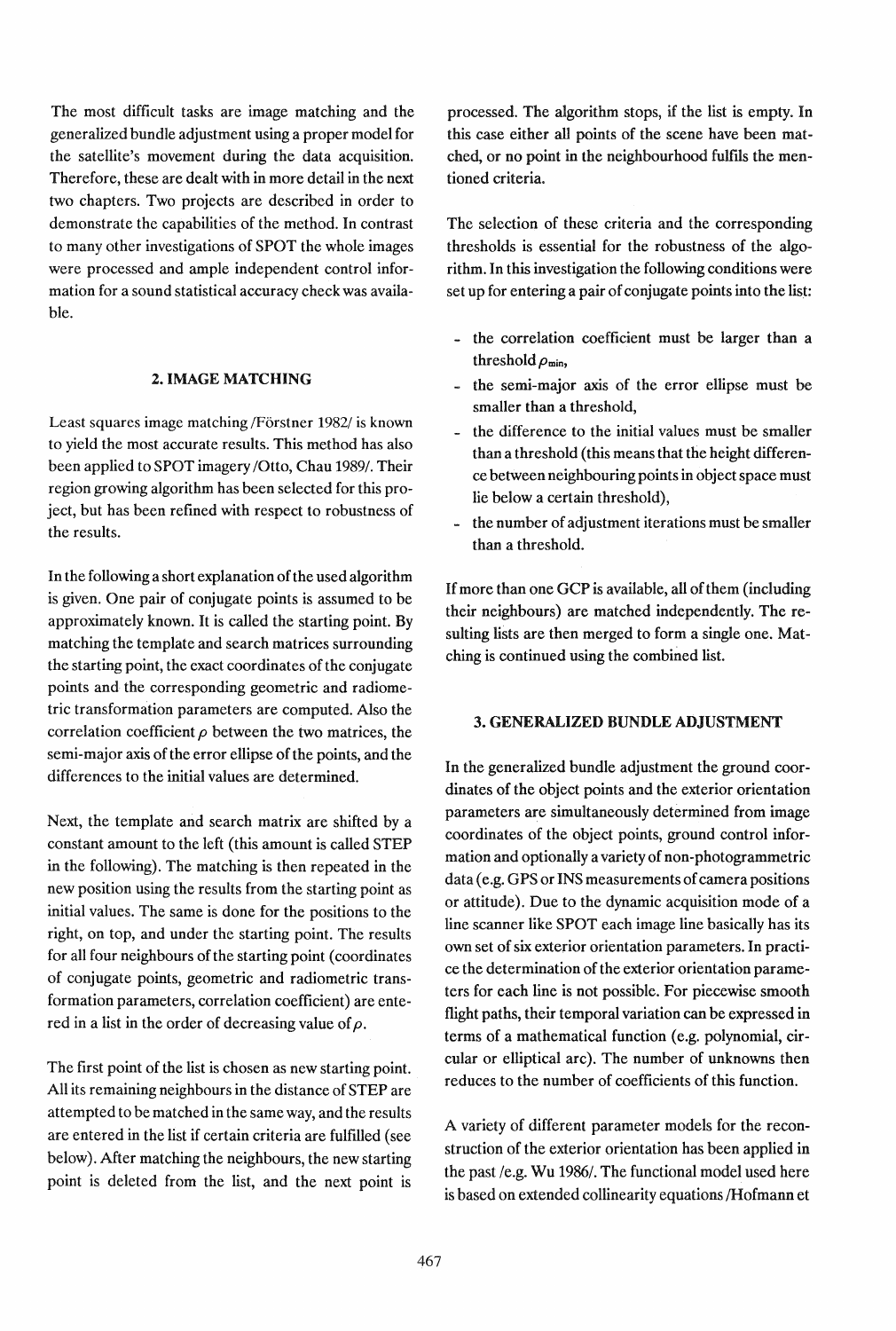The most difficult tasks are image matching and the generalized bundle adjustment using a proper model for the satellite's movement during the data acquisition. Therefore, these are dealt with in more detail in the next two chapters. Two projects are described in order to demonstrate the capabilities of the method. In contrast to many other investigations of SPOT the whole images were processed and ample independent control information for a sound statistical accuracy check was available.

### 2. IMAGE MATCHING

Least squares image matching /Förstner 1982/ is known to yield the most accurate results. This method has also been applied to SPOT imagery *lOtto,* Chau 1989/. Their region growing algorithm has been selected for this project, but has been refined with respect to robustness of the results.

In the following a short explanation of the used algorithm is given. One pair of conjugate points is assumed to be approximately known. It is called the starting point. By matching the template and search matrices surrounding the starting point, the exact coordinates of the conjugate points and the corresponding geometric and radiometric transformation parameters are computed. Also the correlation coefficient  $\rho$  between the two matrices, the semi-major axis of the error ellipse of the points, and the differences to the initial values are determined.

Next, the template and search matrix are shifted by a constant amount to the left (this amount is called STEP in the following). The matching is then repeated in the new position using the results from the starting point as initial values. The same is done for the positions to the right, on top, and under the starting point. The results for all four neighbours of the starting point (coordinates of conjugate points, geometric and radiometric transformation parameters, correlation coefficient) are entered in a list in the order of decreasing value of  $\rho$ .

The first point of the list is chosen as new starting point. All its remaining neighbours in the distance of STEP are attempted to be matched in the same way, and the results are entered in the list if certain criteria are fulfilled (see below). After matching the neighbours, the new starting point is deleted from the list, and the next point is

processed. The algorithm stops, if the list is empty. In this case either all points of the scene have been matched, or no point in the neighbourhood fulfils the mentioned criteria.

The selection of these criteria and the corresponding thresholds is essential for the robustness of the algorithm. In this investigation the following conditions were set up for entering a pair of conjugate points into the list:

- the correlation coefficient must be larger than a threshold  $\rho_{\min}$ ,
- .. the semi-major axis of the error ellipse must be smaller than a threshold,
- the difference to the initial values must be smaller than a threshold (this means that the height difference between neighbouring points in object space must lie below a certain threshold),
- the number of adjustment iterations must be smaller than a threshold.

If more than one GCP is available, all of them (including their neighbours) are matched independently. The resulting lists are then merged to form a single one. Matching is continued using the combined list.

### 3. GENERALIZED BUNDLE ADJUSTMENT

In the generalized bundle adjustment the ground coordinates of the object points and the exterior orientation parameters are simultaneously determined from image coordinates of the object points, ground control information and optionally a variety of non-photogrammetric data (e.g. GPS or INS measurements of camera positions or attitude). Due to the dynamic acquisition mode of a line scanner like SPOT each image line basically has its own set of six exterior orientation parameters. In practice the determination of the exterior orientation parameters for each line is not possible. For piecewise smooth flight paths, their temporal variation can be expressed in terms of a mathematical function (e.g. polynomial, circular or elliptical arc). The number of unknowns then reduces to the number of coefficients of this function.

A variety of different parameter models for the reconstruction of the exterior orientation has been applied in the past *le.g.* Wu *1986/.* The functional model used here is based on extended collinearity equations /Hofmann et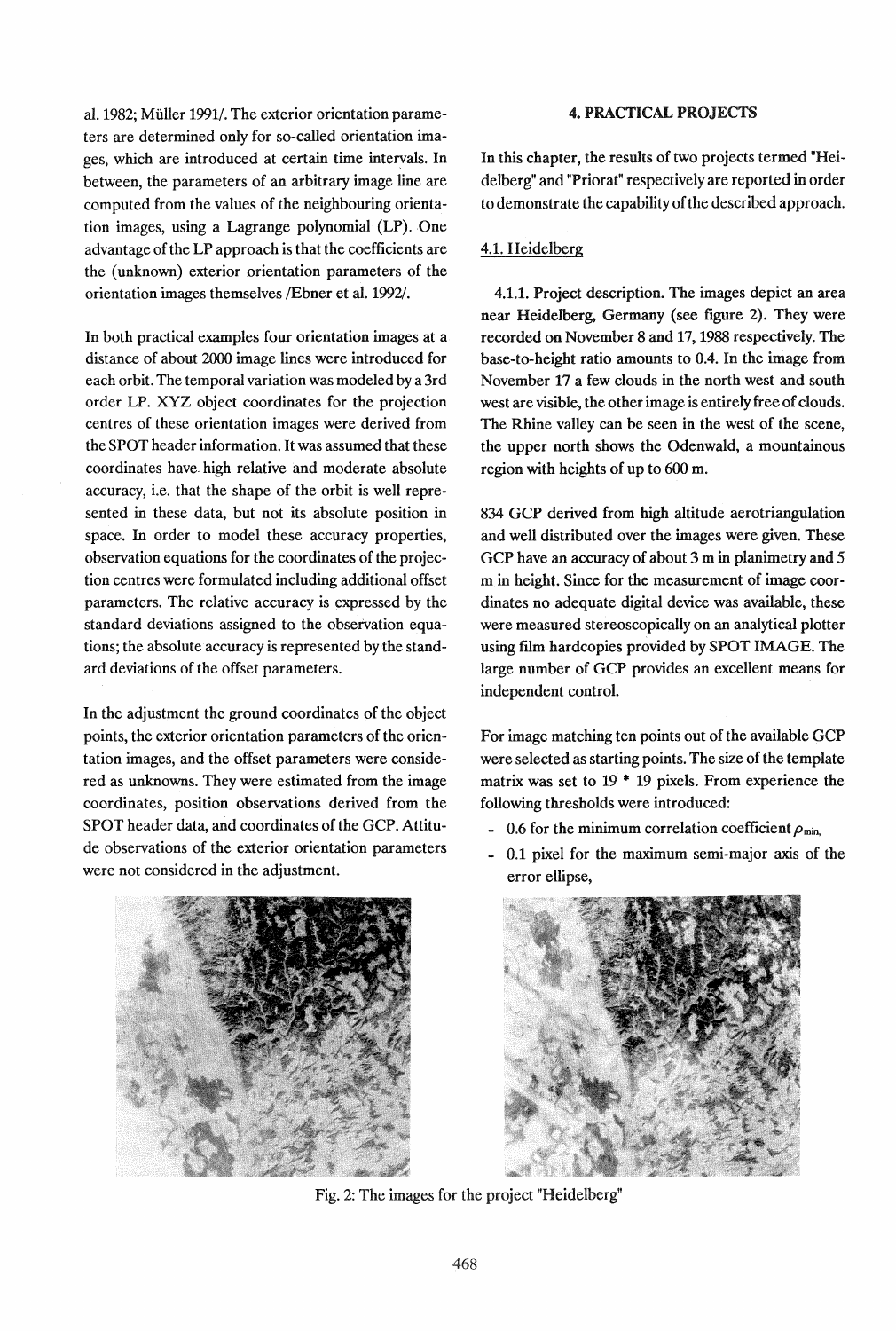al. 1982; Muller 1991/. The exterior orientation parameters are determined only for so-called orientation images, which are introduced at certain time intervals. In between, the parameters of an arbitrary image line are computed from the values of the neighbouring orientation images, using a Lagrange polynomial (LP) . One advantage of the LP approach is that the coefficients are the ( unknown) exterior orientation parameters of the orientation images themselves /Ebner et al. 1992/.

In both practical examples four orientation images at a distance of about 2000 image lines were introduced for each orbit. The temporal variation was modeled by a 3rd order LP. XYZ object coordinates for the projection centres of these orientation images were derived from the SPOT header information. It was assumed that these coordinates have. high relative and moderate absolute accuracy, i.e. that the shape of the orbit is well represented in these data, but not its absolute position in space. In order to model these accuracy properties, observation equations for the coordinates of the projection centres were formulated including additional offset parameters. The relative accuracy is expressed by the standard deviations assigned to the observation equations; the absolute accuracy is represented by the standard deviations of the offset parameters.

In the adjustment the ground coordinates of the object points, the exterior orientation parameters of the orientation images, and the offset parameters were considered as unknowns. They were estimated from the image coordinates, position observations derived from the SPOT header data, and coordinates of the GCP. Attitude observations of the exterior orientation parameters were not considered in the adjustment.



# 4. PRACTICAL PROJECTS

In this chapter, the results of two projects termed "Heidelberg" and "Priorat" respectively are reported in order to demonstrate the capability of the described approach.

## 4.1. Heidelberg

4.1.1. Project description. The images depict an area near Heidelberg, Germany (see figure 2). They were recorded on November 8 and 17, 1988 respectively. The base-to-height ratio amounts to 0.4. In the image from November 17 a few clouds in the north west and south west are visible, the other image is entirely free of clouds. The Rhine valley can be seen in the west of the scene, the upper north shows the Odenwald, a mountainous region with heights of up to 600 m.

834 GCP derived from high altitude aerotriangulation and well distributed over the images were given. These GCP have an accuracy of about 3 m in planimetry and 5 m in height. Since for the measurement of image coordinates no adequate digital device was available, these were measured stereoscopically on an analytical plotter using film hardcopies provided by SPOT IMAGE. The large number of GCP provides an excellent means for independent control.

For image matching ten points out of the available GCP were selected as starting points. The size of the template matrix was set to  $19 * 19$  pixels. From experience the following thresholds were introduced:

- 0.6 for the minimum correlation coefficient  $\rho_{\min}$ .
- 0.1 pixel for the maximum semi-major axis of the error ellipse,



Fig. 2: The images for the project "Heidelberg"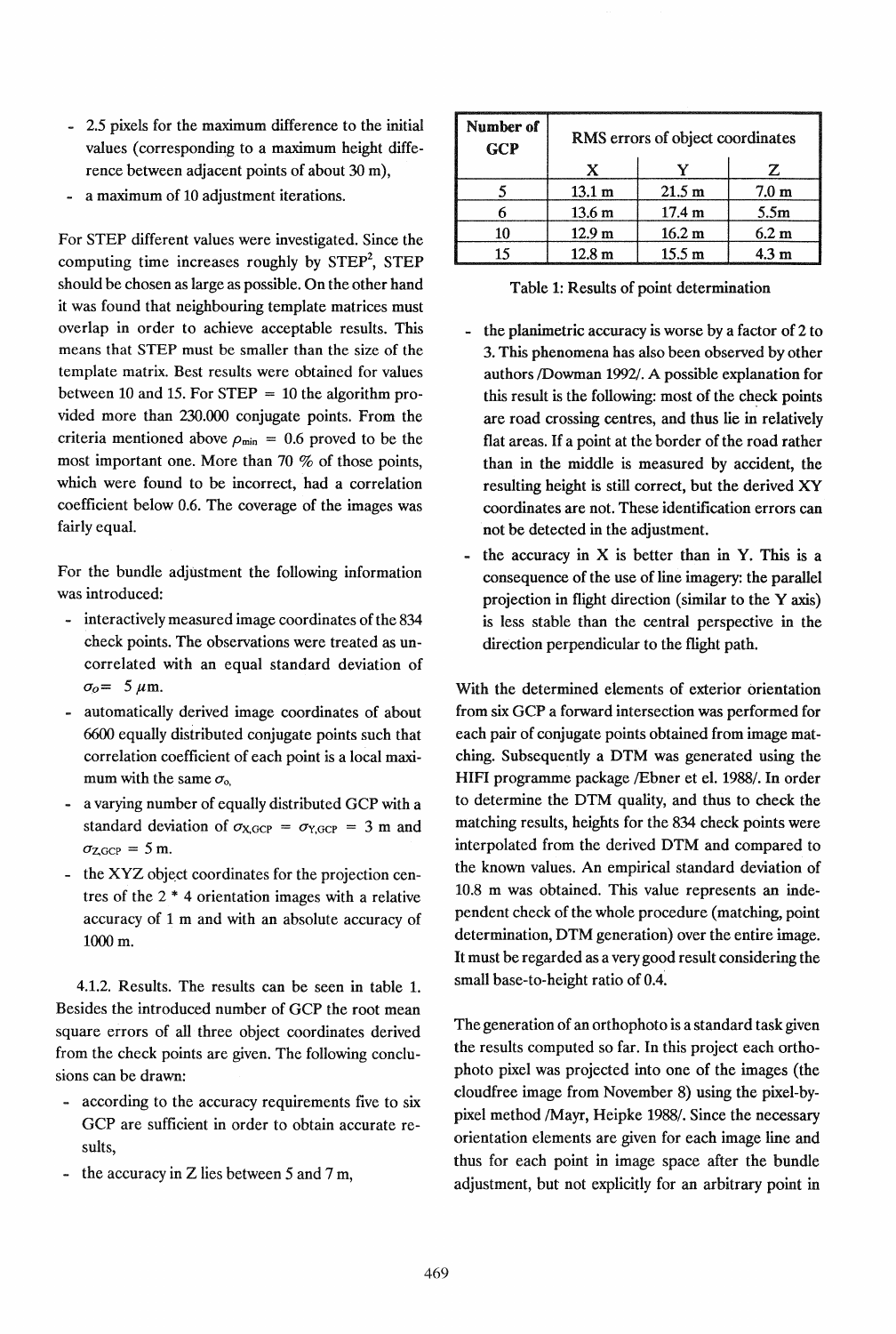- 2.5 pixels for the maximum difference to the initial values (corresponding to a maximum height difference between adjacent points of about 30 m),
- a maximum of 10 adjustment iterations.

For STEP different values were investigated. Since the computing time increases roughly by  $STEP<sup>2</sup>$ ,  $STEP$ should be chosen as large as possible. On the other hand it was found that neighbouring template matrices must overlap in order to achieve acceptable results. This means that STEP must be smaller than the size of the template matrix. Best results were obtained for values between 10 and 15. For  $STEP = 10$  the algorithm provided more than 230.000 conjugate points. From the criteria mentioned above  $\rho_{\min} = 0.6$  proved to be the most important one. More than 70 % of those points, which were found to be incorrect, had a correlation coefficient below 0.6. The coverage of the images was fairly equal.

For the bundle adjustment the following information was introduced:

- interactively measured image coordinates of the 834 check points. The observations were treated as uncorrelated with an equal standard deviation of  $\sigma_o = 5 \mu \text{m}$ .
- automatically derived image coordinates of about 6600 equally distributed conjugate points such that correlation coefficient of each point is a local maximum with the same  $\sigma_{o}$ ,
- a varying number of equally distributed GCP with a standard deviation of  $\sigma_{X,\text{GCP}} = \sigma_{Y,\text{GCP}} = 3 \text{ m}$  and  $\sigma_{ZGCP} = 5$  m.
- the XYZ object coordinates for the projection centres of the 2 \* 4 orientation images with a relative accuracy of 1 m and with an absolute accuracy of 1000 m.

4.1.2. Results. The results can be seen in table 1. Besides the introduced number of GCP the root mean square errors of all three object coordinates derived from the check points are given. The following conclusions can be drawn:

- according to the accuracy requirements five to six GCP are sufficient in order to obtain accurate results,
- the accuracy in Z lies between 5 and 7 m,

| Number of<br>GCP | RMS errors of object coordinates |                   |                  |
|------------------|----------------------------------|-------------------|------------------|
|                  | Y                                |                   | 7.               |
|                  | $13.1 \text{ m}$                 | 21.5 m            | $7.0 \text{ m}$  |
|                  | 13.6 <sub>m</sub>                | 17.4 m            | 5.5 <sub>m</sub> |
| 10               | 12.9 <sub>m</sub>                | $16.2 \text{ m}$  | 6.2 m            |
| 15               | 12.8 <sub>m</sub>                | 15.5 <sub>m</sub> | 4.3 m            |

Table 1: Results of point determination

- the planimetric accuracy is worse by a factor of 2 to 3. This phenomena has also been observed by other authors IDowman 1992/. A possible explanation for this result is the following: most of the check points are road crossing centres, and thus lie in relatively flat areas. If a point at the border of the road rather than in the middle is measured by accident, the resulting height is still correct, but the derived XY coordinates are not. These identification errors can not be detected in the adjustment.
- the accuracy in  $X$  is better than in Y. This is a consequence of the use of line imagery: the parallel projection in flight direction (similar to the Yaxis) is less stable than the central perspective in the direction perpendicular to the flight path.

With the determined elements of exterior orientation from six GCP a forward intersection was performed for each pair of conjugate points obtained from image matching. Subsequently a DTM was generated using the HIFI programme package /Ebner et el. 1988/. In order to determine the DTM quality, and thus to check the matching results, heights for the 834 check points were interpolated from the derived DTM and compared to the known values. An empirical standard deviation of 10.8 m was obtained. This value represents an independent check of the whole procedure (matching, point determination, DTM generation) over the entire image. It must be regarded as a very good result considering the small base-to-height ratio of 0.4.

The generation of an orthophoto is a standard task given the results computed so far. In this project each orthophoto pixel was projected into one of the images (the cloudfree image from November 8) using the pixel-bypixel method /Mayr, Heipke 1988/. Since the necessary orientation elements are given for each image line and thus for each point in image space after the bundle adjustment, but not explicitly for an arbitrary point in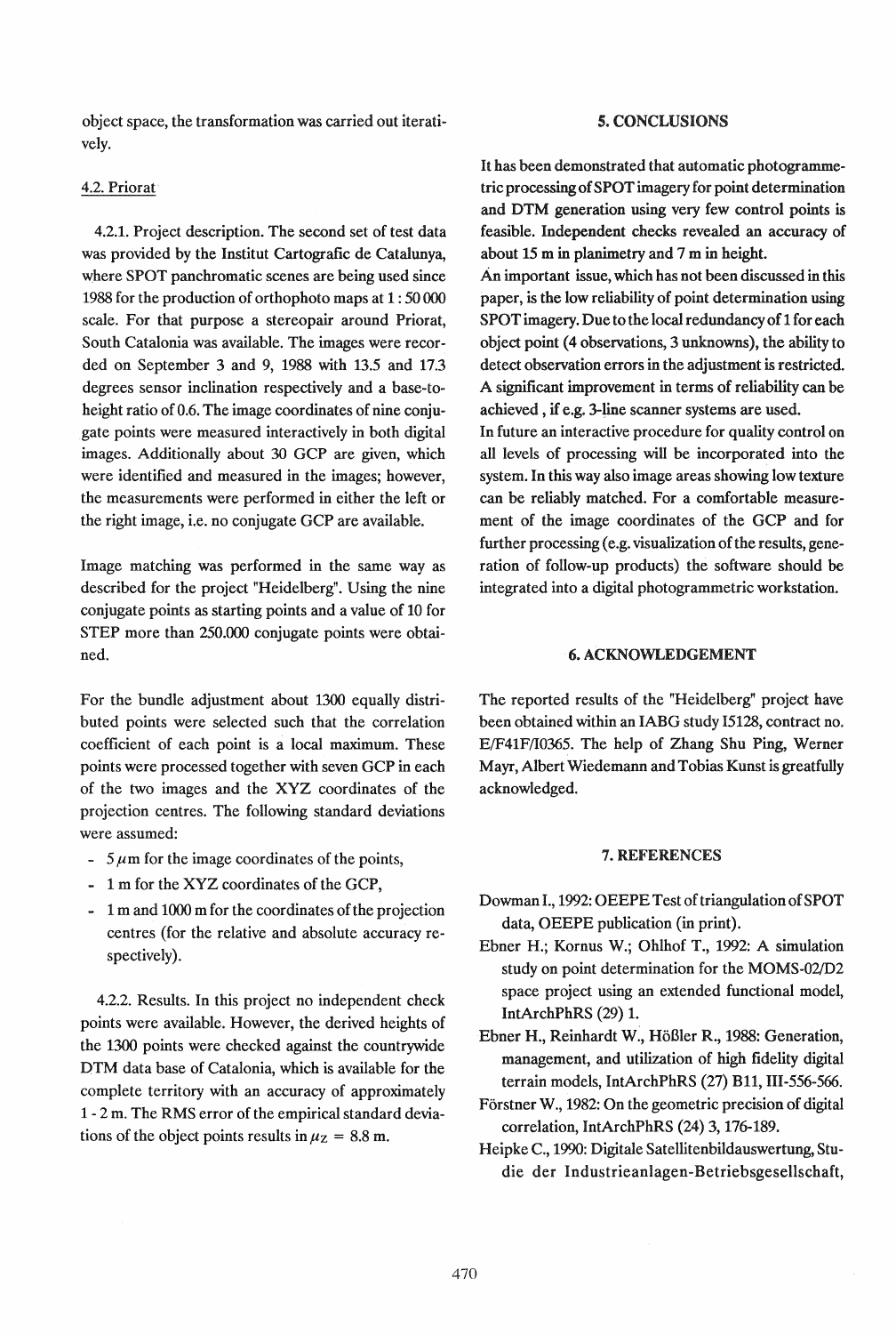object space, the transformation was carried out iteratively.

### 4.2. Priorat

4.2.1. Project description. The second set of test data was provided by the Institut Cartografic de Catalunya, where SPOT panchromatic scenes are being used since 1988 for the production of orthophoto maps at 1 : 50 000 scale. For that purpose a stereopair around Priorat, South Catalonia was available. The images were recorded on September 3 and 9, 1988 with 13.5 and 17.3 degrees sensor inclination respectively and a base-toheight ratio of 0.6. The image coordinates of nine conjugate points were measured interactively in both digital images. Additionally about 30 GCP are given, which were identified and measured in the images; however, the measurements were performed in either the left or the right image, i.e. no conjugate GCP are available.

Image matching was performed in the same way as described for the project "Heidelberg". Using the nine conjugate points as starting points and a value of 10 for STEP more than 250.000 conjugate points were obtained.

For the bundle adjustment about 1300 equally distributed points were selected such that the correlation coefficient of each point is a local maximum. These points were processed together with seven GCP in each of the two images and the XYZ coordinates of the projection centres. The following standard deviations were assumed:

- $-5 \mu m$  for the image coordinates of the points,
- .. 1 m for the XYZ coordinates of the GCP,
- 1 m and 1000 m for the coordinates of the projection centres (for the relative and absolute accuracy respectively).

4.2.2. Results. In this project no independent check points were available. However, the derived heights of the 1300 points were checked against the countrywide DTM data base of Catalonia, which is available for the complete territory with an accuracy of approximately 1 - 2 m. The RMS error of the empirical standard deviations of the object points results in  $\mu$ <sub>z</sub> = 8.8 m.

### *s.* CONCLUSIONS

It has been demonstrated that automatic photogrammetric processing of SPOT imagery for point determination and DTM generation using very few control points is feasible. Independent checks revealed an accuracy of about 15 m in planimetry and 7 m in height.

An important issue, which has not been discussed in this paper, is the low reliability of point determination using SPOT imagery. Due to the local redundancy of 1 for each object point (4 observations, 3 unknowns), the ability to detect observation errors in the adjustment is restricted. A significant improvement in terms of reliability can be achieved, if e.g. 3-line scanner systems are used.

In future an interactive procedure for quality control on all levels of processing will be incorporated into the system. In this way also image areas showing low texture can be reliably matched. For a comfortable measurement of the image coordinates of the GCP and for further processing (e.g. visualization of the results, generation of follow-up products) the software should be integrated into a digital photogrammetric workstation.

## 6. ACKNOWLEDGEMENT

The reported results of the "Heidelberg" project have been obtained within an IABG study 15128, contract no. E/F41F/I0365. The help of Zhang Shu Ping, Werner Mayr, Albert Wiedemann and Tobias Kunst is greatfully acknowledged.

#### 7. REFERENCES

- Dowman I., 1992: OEEPE Test of triangulation of SPOT data, OEEPE publication (in print).
- Ebner H.; Kornus W.; Ohlhof T., 1992: A simulation study on point determination for the MOMS-02/D2 space project using an extended functional model, IntArchPhRS (29) 1.
- Ebner H., Reinhardt W., HoBIer R., 1988: Generation, management, and utilization of high fidelity digital terrain models, IntArchPhRS (27) Bll, III-556-566.
- Forstner W., 1982: On the geometric precision of digital correlation, IntArchPhRS (24) 3, 176-189.
- Heipke C., 1990: Digitale Satellitenbildauswertung, Studie der Industrieanlagen-Betriebsgesellschaft,